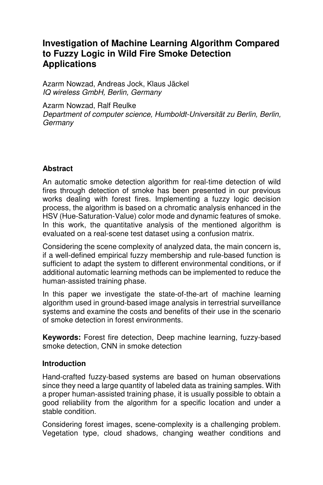# **Investigation of Machine Learning Algorithm Compared to Fuzzy Logic in Wild Fire Smoke Detection Applications**

Azarm Nowzad, Andreas Jock, Klaus Jäckel IQ wireless GmbH, Berlin, Germany

Azarm Nowzad, Ralf Reulke

Department of computer science, Humboldt-Universität zu Berlin, Berlin, **Germany** 

### **Abstract**

An automatic smoke detection algorithm for real-time detection of wild fires through detection of smoke has been presented in our previous works dealing with forest fires. Implementing a fuzzy logic decision process, the algorithm is based on a chromatic analysis enhanced in the HSV (Hue-Saturation-Value) color mode and dynamic features of smoke. In this work, the quantitative analysis of the mentioned algorithm is evaluated on a real-scene test dataset using a confusion matrix.

Considering the scene complexity of analyzed data, the main concern is, if a well-defined empirical fuzzy membership and rule-based function is sufficient to adapt the system to different environmental conditions, or if additional automatic learning methods can be implemented to reduce the human-assisted training phase.

In this paper we investigate the state-of-the-art of machine learning algorithm used in ground-based image analysis in terrestrial surveillance systems and examine the costs and benefits of their use in the scenario of smoke detection in forest environments.

**Keywords:** Forest fire detection, Deep machine learning, fuzzy-based smoke detection, CNN in smoke detection

### **Introduction**

Hand-crafted fuzzy-based systems are based on human observations since they need a large quantity of labeled data as training samples. With a proper human-assisted training phase, it is usually possible to obtain a good reliability from the algorithm for a specific location and under a stable condition.

Considering forest images, scene-complexity is a challenging problem. Vegetation type, cloud shadows, changing weather conditions and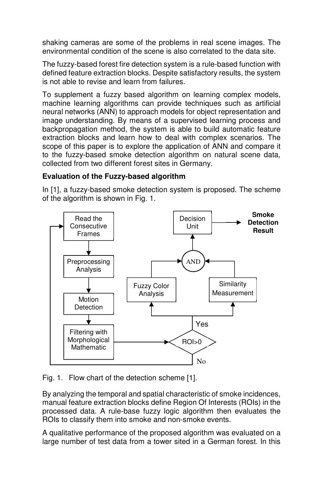shaking cameras are some of the problems in real scene images. The environmental condition of the scene is also correlated to the data site.

The fuzzy-based forest fire detection system is a rule-based function with defined feature extraction blocks. Despite satisfactory results, the system is not able to revise and learn from failures.

To supplement a fuzzy based algorithm on learning complex models, machine learning algorithms can provide techniques such as artificial neural networks (ANN) to approach models for object representation and image understanding. By means of a supervised learning process and backpropagation method, the system is able to build automatic feature extraction blocks and learn how to deal with complex scenarios. The scope of this paper is to explore the application of ANN and compare it to the fuzzy-based smoke detection algorithm on natural scene data, collected from two different forest sites in Germany.

# **Evaluation of the Fuzzy-based algorithm**

In [1], a fuzzy-based smoke detection system is proposed. The scheme of the algorithm is shown in Fig. 1.



Fig. 1. Flow chart of the detection scheme [1].

By analyzing the temporal and spatial characteristic of smoke incidences, manual feature extraction blocks define Region Of Interests (ROIs) in the processed data. A rule-base fuzzy logic algorithm then evaluates the ROIs to classify them into smoke and non-smoke events.

A qualitative performance of the proposed algorithm was evaluated on a large number of test data from a tower sited in a German forest. In this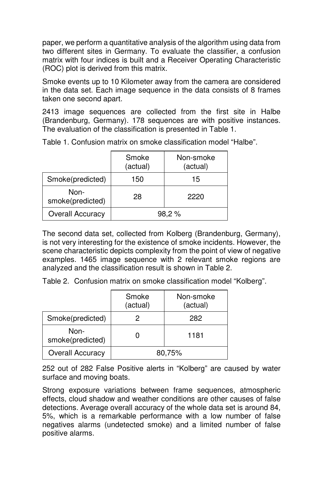paper, we perform a quantitative analysis of the algorithm using data from two different sites in Germany. To evaluate the classifier, a confusion matrix with four indices is built and a Receiver Operating Characteristic (ROC) plot is derived from this matrix.

Smoke events up to 10 Kilometer away from the camera are considered in the data set. Each image sequence in the data consists of 8 frames taken one second apart.

2413 image sequences are collected from the first site in Halbe (Brandenburg, Germany). 178 sequences are with positive instances. The evaluation of the classification is presented in Table 1.

|                          | Smoke<br>(actual) | Non-smoke<br>(actual) |
|--------------------------|-------------------|-----------------------|
| Smoke(predicted)         | 150               | 15                    |
| Non-<br>smoke(predicted) | 28                | 2220                  |
| Overall Accuracy         | 98,2%             |                       |

Table 1. Confusion matrix on smoke classification model "Halbe".

The second data set, collected from Kolberg (Brandenburg, Germany), is not very interesting for the existence of smoke incidents. However, the scene characteristic depicts complexity from the point of view of negative examples. 1465 image sequence with 2 relevant smoke regions are analyzed and the classification result is shown in Table 2.

Table 2. Confusion matrix on smoke classification model "Kolberg".

|                          | Smoke<br>(actual) | Non-smoke<br>(actual) |
|--------------------------|-------------------|-----------------------|
| Smoke(predicted)         |                   | 282                   |
| Non-<br>smoke(predicted) |                   | 1181                  |
| Overall Accuracy         | 80,75%            |                       |

252 out of 282 False Positive alerts in "Kolberg" are caused by water surface and moving boats.

Strong exposure variations between frame sequences, atmospheric effects, cloud shadow and weather conditions are other causes of false detections. Average overall accuracy of the whole data set is around 84, 5%, which is a remarkable performance with a low number of false negatives alarms (undetected smoke) and a limited number of false positive alarms.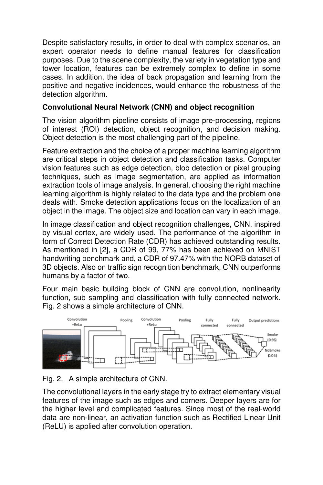Despite satisfactory results, in order to deal with complex scenarios, an expert operator needs to define manual features for classification purposes. Due to the scene complexity, the variety in vegetation type and tower location, features can be extremely complex to define in some cases. In addition, the idea of back propagation and learning from the positive and negative incidences, would enhance the robustness of the detection algorithm.

# **Convolutional Neural Network (CNN) and object recognition**

The vision algorithm pipeline consists of image pre-processing, regions of interest (ROI) detection, object recognition, and decision making. Object detection is the most challenging part of the pipeline.

Feature extraction and the choice of a proper machine learning algorithm are critical steps in object detection and classification tasks. Computer vision features such as edge detection, blob detection or pixel grouping techniques, such as image segmentation, are applied as information extraction tools of image analysis. In general, choosing the right machine learning algorithm is highly related to the data type and the problem one deals with. Smoke detection applications focus on the localization of an object in the image. The object size and location can vary in each image.

In image classification and object recognition challenges, CNN, inspired by visual cortex, are widely used. The performance of the algorithm in form of Correct Detection Rate (CDR) has achieved outstanding results. As mentioned in [2], a CDR of 99, 77% has been achieved on MNIST handwriting benchmark and, a CDR of 97.47% with the NORB dataset of 3D objects. Also on traffic sign recognition benchmark, CNN outperforms humans by a factor of two.

Four main basic building block of CNN are convolution, nonlinearity function, sub sampling and classification with fully connected network. Fig. 2 shows a simple architecture of CNN.



# Fig. 2. A simple architecture of CNN.

The convolutional layers in the early stage try to extract elementary visual features of the image such as edges and corners. Deeper layers are for the higher level and complicated features. Since most of the real-world data are non-linear, an activation function such as Rectified Linear Unit (ReLU) is applied after convolution operation.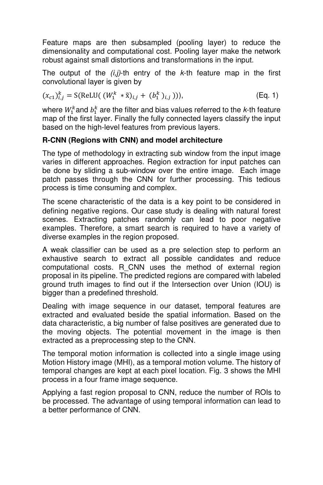Feature maps are then subsampled (pooling layer) to reduce the dimensionality and computational cost. Pooling layer make the network robust against small distortions and transformations in the input.

The output of the  $(i,j)$ -th entry of the k-th feature map in the first convolutional layer is given by

$$
(x_{c1})_{i,j}^k = S(\text{ReLU}((W_1^k * \tilde{x})_{i,j} + (b_1^k)_{i,j}))),
$$
 (Eq. 1)

where  $W_1^k$ and  $b_1^k$  are the filter and bias values referred to the *k*-th feature map of the first layer. Finally the fully connected layers classify the input based on the high-level features from previous layers.

# **R-CNN (Regions with CNN) and model architecture**

The type of methodology in extracting sub window from the input image varies in different approaches. Region extraction for input patches can be done by sliding a sub-window over the entire image. Each image patch passes through the CNN for further processing. This tedious process is time consuming and complex.

The scene characteristic of the data is a key point to be considered in defining negative regions. Our case study is dealing with natural forest scenes. Extracting patches randomly can lead to poor negative examples. Therefore, a smart search is required to have a variety of diverse examples in the region proposed.

A weak classifier can be used as a pre selection step to perform an exhaustive search to extract all possible candidates and reduce computational costs. R\_CNN uses the method of external region proposal in its pipeline. The predicted regions are compared with labeled ground truth images to find out if the Intersection over Union (IOU) is bigger than a predefined threshold.

Dealing with image sequence in our dataset, temporal features are extracted and evaluated beside the spatial information. Based on the data characteristic, a big number of false positives are generated due to the moving objects. The potential movement in the image is then extracted as a preprocessing step to the CNN.

The temporal motion information is collected into a single image using Motion History image (MHI), as a temporal motion volume. The history of temporal changes are kept at each pixel location. Fig. 3 shows the MHI process in a four frame image sequence.

Applying a fast region proposal to CNN, reduce the number of ROIs to be processed. The advantage of using temporal information can lead to a better performance of CNN.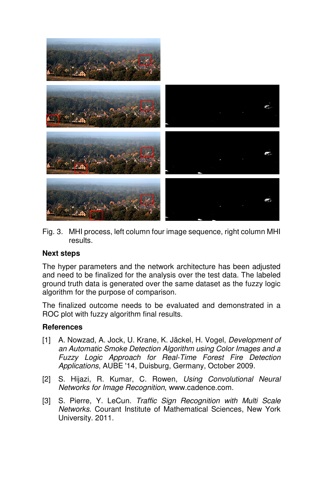

Fig. 3. MHI process, left column four image sequence, right column MHI results.

#### **Next steps**

The hyper parameters and the network architecture has been adjusted and need to be finalized for the analysis over the test data. The labeled ground truth data is generated over the same dataset as the fuzzy logic algorithm for the purpose of comparison.

The finalized outcome needs to be evaluated and demonstrated in a ROC plot with fuzzy algorithm final results.

#### **References**

- [1] A. Nowzad, A. Jock, U. Krane, K. Jäckel, H. Vogel, Development of an Automatic Smoke Detection Algorithm using Color Images and a Fuzzy Logic Approach for Real-Time Forest Fire Detection Applications, AUBE '14, Duisburg, Germany, October 2009.
- [2] S. Hijazi, R. Kumar, C. Rowen, Using Convolutional Neural Networks for Image Recognition, www.cadence.com.
- [3] S. Pierre, Y. LeCun. Traffic Sign Recognition with Multi Scale Networks. Courant Institute of Mathematical Sciences, New York University. 2011.